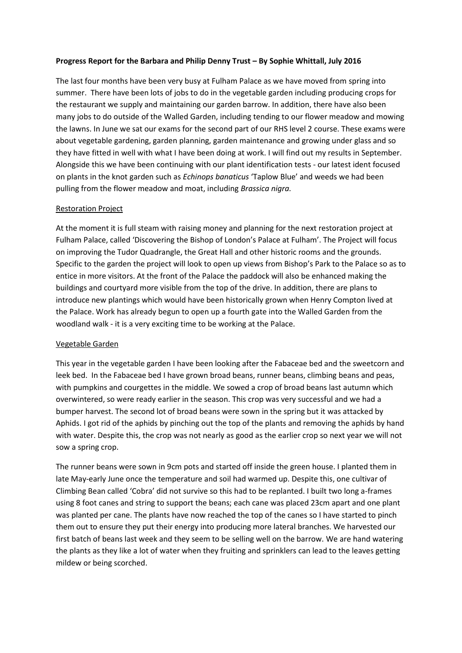### **Progress Report for the Barbara and Philip Denny Trust – By Sophie Whittall, July 2016**

The last four months have been very busy at Fulham Palace as we have moved from spring into summer. There have been lots of jobs to do in the vegetable garden including producing crops for the restaurant we supply and maintaining our garden barrow. In addition, there have also been many jobs to do outside of the Walled Garden, including tending to our flower meadow and mowing the lawns. In June we sat our exams for the second part of our RHS level 2 course. These exams were about vegetable gardening, garden planning, garden maintenance and growing under glass and so they have fitted in well with what I have been doing at work. I will find out my results in September. Alongside this we have been continuing with our plant identification tests - our latest ident focused on plants in the knot garden such as *Echinops banaticus* 'Taplow Blue' and weeds we had been pulling from the flower meadow and moat, including *Brassica nigra.*

## Restoration Project

At the moment it is full steam with raising money and planning for the next restoration project at Fulham Palace, called 'Discovering the Bishop of London's Palace at Fulham'. The Project will focus on improving the Tudor Quadrangle, the Great Hall and other historic rooms and the grounds. Specific to the garden the project will look to open up views from Bishop's Park to the Palace so as to entice in more visitors. At the front of the Palace the paddock will also be enhanced making the buildings and courtyard more visible from the top of the drive. In addition, there are plans to introduce new plantings which would have been historically grown when Henry Compton lived at the Palace. Work has already begun to open up a fourth gate into the Walled Garden from the woodland walk - it is a very exciting time to be working at the Palace.

#### Vegetable Garden

This year in the vegetable garden I have been looking after the Fabaceae bed and the sweetcorn and leek bed. In the Fabaceae bed I have grown broad beans, runner beans, climbing beans and peas, with pumpkins and courgettes in the middle. We sowed a crop of broad beans last autumn which overwintered, so were ready earlier in the season. This crop was very successful and we had a bumper harvest. The second lot of broad beans were sown in the spring but it was attacked by Aphids. I got rid of the aphids by pinching out the top of the plants and removing the aphids by hand with water. Despite this, the crop was not nearly as good as the earlier crop so next year we will not sow a spring crop.

The runner beans were sown in 9cm pots and started off inside the green house. I planted them in late May-early June once the temperature and soil had warmed up. Despite this, one cultivar of Climbing Bean called 'Cobra' did not survive so this had to be replanted. I built two long a-frames using 8 foot canes and string to support the beans; each cane was placed 23cm apart and one plant was planted per cane. The plants have now reached the top of the canes so I have started to pinch them out to ensure they put their energy into producing more lateral branches. We harvested our first batch of beans last week and they seem to be selling well on the barrow. We are hand watering the plants as they like a lot of water when they fruiting and sprinklers can lead to the leaves getting mildew or being scorched.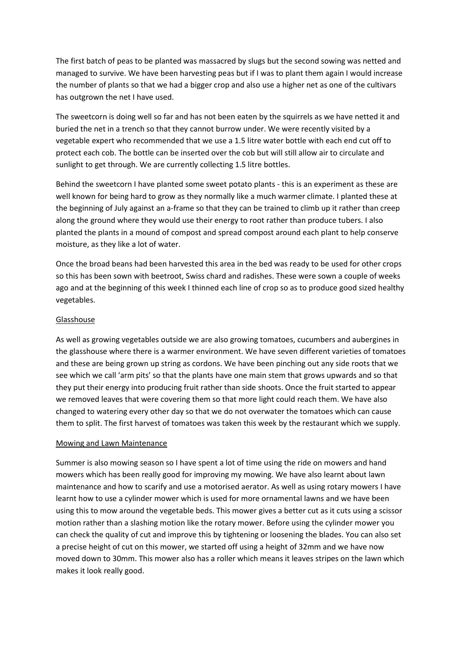The first batch of peas to be planted was massacred by slugs but the second sowing was netted and managed to survive. We have been harvesting peas but if I was to plant them again I would increase the number of plants so that we had a bigger crop and also use a higher net as one of the cultivars has outgrown the net I have used.

The sweetcorn is doing well so far and has not been eaten by the squirrels as we have netted it and buried the net in a trench so that they cannot burrow under. We were recently visited by a vegetable expert who recommended that we use a 1.5 litre water bottle with each end cut off to protect each cob. The bottle can be inserted over the cob but will still allow air to circulate and sunlight to get through. We are currently collecting 1.5 litre bottles.

Behind the sweetcorn I have planted some sweet potato plants - this is an experiment as these are well known for being hard to grow as they normally like a much warmer climate. I planted these at the beginning of July against an a-frame so that they can be trained to climb up it rather than creep along the ground where they would use their energy to root rather than produce tubers. I also planted the plants in a mound of compost and spread compost around each plant to help conserve moisture, as they like a lot of water.

Once the broad beans had been harvested this area in the bed was ready to be used for other crops so this has been sown with beetroot, Swiss chard and radishes. These were sown a couple of weeks ago and at the beginning of this week I thinned each line of crop so as to produce good sized healthy vegetables.

## Glasshouse

As well as growing vegetables outside we are also growing tomatoes, cucumbers and aubergines in the glasshouse where there is a warmer environment. We have seven different varieties of tomatoes and these are being grown up string as cordons. We have been pinching out any side roots that we see which we call 'arm pits' so that the plants have one main stem that grows upwards and so that they put their energy into producing fruit rather than side shoots. Once the fruit started to appear we removed leaves that were covering them so that more light could reach them. We have also changed to watering every other day so that we do not overwater the tomatoes which can cause them to split. The first harvest of tomatoes was taken this week by the restaurant which we supply.

#### Mowing and Lawn Maintenance

Summer is also mowing season so I have spent a lot of time using the ride on mowers and hand mowers which has been really good for improving my mowing. We have also learnt about lawn maintenance and how to scarify and use a motorised aerator. As well as using rotary mowers I have learnt how to use a cylinder mower which is used for more ornamental lawns and we have been using this to mow around the vegetable beds. This mower gives a better cut as it cuts using a scissor motion rather than a slashing motion like the rotary mower. Before using the cylinder mower you can check the quality of cut and improve this by tightening or loosening the blades. You can also set a precise height of cut on this mower, we started off using a height of 32mm and we have now moved down to 30mm. This mower also has a roller which means it leaves stripes on the lawn which makes it look really good.